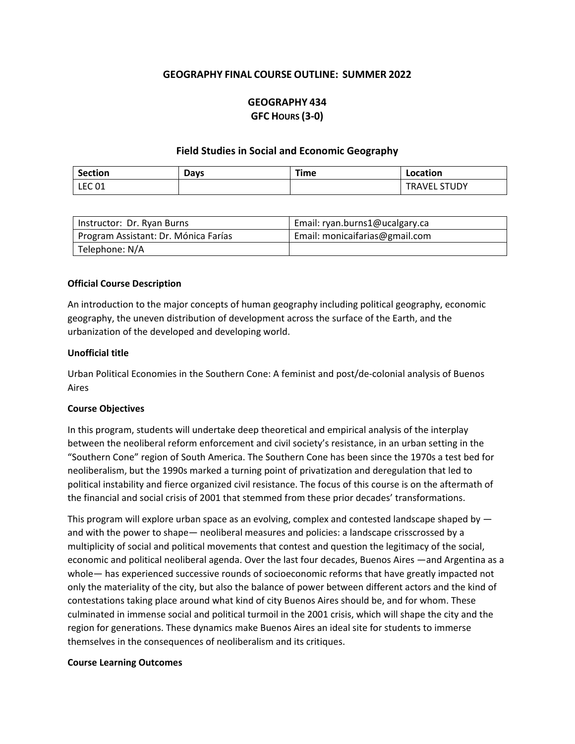# **GEOGRAPHY FINAL COURSE OUTLINE: SUMMER 2022**

# **GEOGRAPHY 434 GFC HOURS (3-0)**

### **Field Studies in Social and Economic Geography**

| <b>Section</b> | Days | Time | Location                      |
|----------------|------|------|-------------------------------|
| <b>LEC 01</b>  |      |      | <b>STUDY</b><br><b>TRAVEL</b> |

| Instructor: Dr. Ryan Burns           | Email: ryan.burns1@ucalgary.ca |
|--------------------------------------|--------------------------------|
| Program Assistant: Dr. Mónica Farías | Email: monicaifarias@gmail.com |
| Telephone: N/A                       |                                |

### **Official Course Description**

An introduction to the major concepts of human geography including political geography, economic geography, the uneven distribution of development across the surface of the Earth, and the urbanization of the developed and developing world.

### **Unofficial title**

Urban Political Economies in the Southern Cone: A feminist and post/de-colonial analysis of Buenos Aires

### **Course Objectives**

In this program, students will undertake deep theoretical and empirical analysis of the interplay between the neoliberal reform enforcement and civil society's resistance, in an urban setting in the "Southern Cone" region of South America. The Southern Cone has been since the 1970s a test bed for neoliberalism, but the 1990s marked a turning point of privatization and deregulation that led to political instability and fierce organized civil resistance. The focus of this course is on the aftermath of the financial and social crisis of 2001 that stemmed from these prior decades' transformations.

This program will explore urban space as an evolving, complex and contested landscape shaped by and with the power to shape— neoliberal measures and policies: a landscape crisscrossed by a multiplicity of social and political movements that contest and question the legitimacy of the social, economic and political neoliberal agenda. Over the last four decades, Buenos Aires —and Argentina as a whole— has experienced successive rounds of socioeconomic reforms that have greatly impacted not only the materiality of the city, but also the balance of power between different actors and the kind of contestations taking place around what kind of city Buenos Aires should be, and for whom. These culminated in immense social and political turmoil in the 2001 crisis, which will shape the city and the region for generations. These dynamics make Buenos Aires an ideal site for students to immerse themselves in the consequences of neoliberalism and its critiques.

### **Course Learning Outcomes**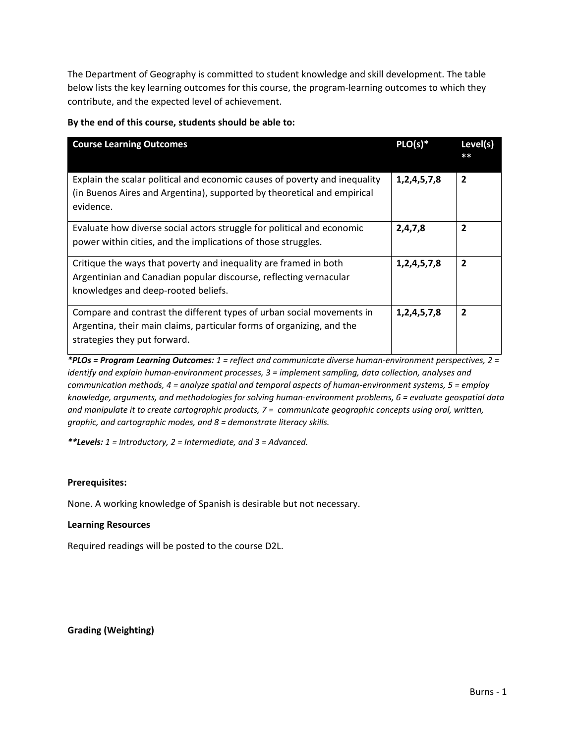The Department of Geography is committed to student knowledge and skill development. The table below lists the key learning outcomes for this course, the program-learning outcomes to which they contribute, and the expected level of achievement.

| <b>Course Learning Outcomes</b>                                                                                                                                                | $PLO(s)*$        | Level(s)       |
|--------------------------------------------------------------------------------------------------------------------------------------------------------------------------------|------------------|----------------|
| Explain the scalar political and economic causes of poverty and inequality<br>(in Buenos Aires and Argentina), supported by theoretical and empirical<br>evidence.             | 1,2,4,5,7,8      | $\overline{2}$ |
| Evaluate how diverse social actors struggle for political and economic<br>power within cities, and the implications of those struggles.                                        | 2,4,7,8          | $\overline{2}$ |
| Critique the ways that poverty and inequality are framed in both<br>Argentinian and Canadian popular discourse, reflecting vernacular<br>knowledges and deep-rooted beliefs.   | 1,2,4,5,7,8      | $\overline{2}$ |
| Compare and contrast the different types of urban social movements in<br>Argentina, their main claims, particular forms of organizing, and the<br>strategies they put forward. | 1, 2, 4, 5, 7, 8 | $\overline{2}$ |

### **By the end of this course, students should be able to:**

*\*PLOs = Program Learning Outcomes: 1 = reflect and communicate diverse human-environment perspectives, 2 = identify and explain human-environment processes, 3 = implement sampling, data collection, analyses and communication methods, 4 = analyze spatial and temporal aspects of human-environment systems, 5 = employ knowledge, arguments, and methodologies for solving human-environment problems, 6 = evaluate geospatial data and manipulate it to create cartographic products, 7 = communicate geographic concepts using oral, written, graphic, and cartographic modes, and 8 = demonstrate literacy skills.*

*\*\*Levels: 1 = Introductory, 2 = Intermediate, and 3 = Advanced.*

## **Prerequisites:**

None. A working knowledge of Spanish is desirable but not necessary.

### **Learning Resources**

Required readings will be posted to the course D2L.

**Grading (Weighting)**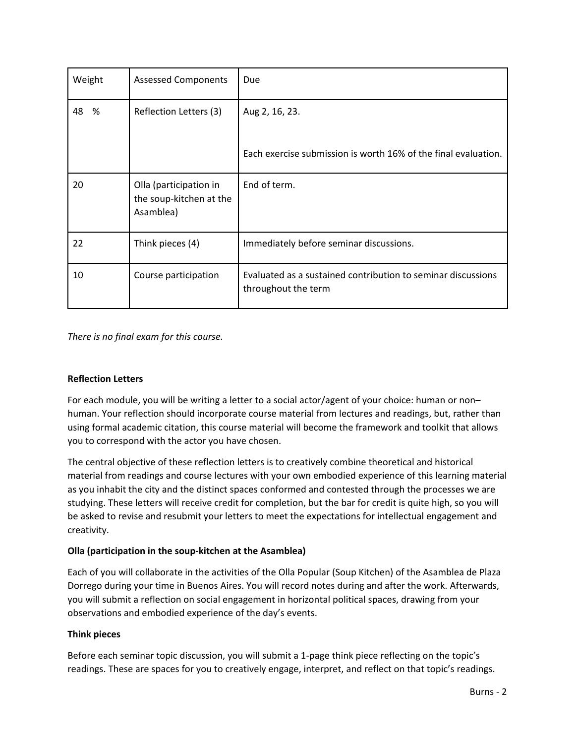| Weight  | <b>Assessed Components</b>                                     | Due                                                                                 |
|---------|----------------------------------------------------------------|-------------------------------------------------------------------------------------|
| 48<br>% | Reflection Letters (3)                                         | Aug 2, 16, 23.                                                                      |
|         |                                                                | Each exercise submission is worth 16% of the final evaluation.                      |
| 20      | Olla (participation in<br>the soup-kitchen at the<br>Asamblea) | End of term.                                                                        |
| 22      | Think pieces (4)                                               | Immediately before seminar discussions.                                             |
| 10      | Course participation                                           | Evaluated as a sustained contribution to seminar discussions<br>throughout the term |

*There is no final exam for this course.* 

## **Reflection Letters**

For each module, you will be writing a letter to a social actor/agent of your choice: human or non– human. Your reflection should incorporate course material from lectures and readings, but, rather than using formal academic citation, this course material will become the framework and toolkit that allows you to correspond with the actor you have chosen.

The central objective of these reflection letters is to creatively combine theoretical and historical material from readings and course lectures with your own embodied experience of this learning material as you inhabit the city and the distinct spaces conformed and contested through the processes we are studying. These letters will receive credit for completion, but the bar for credit is quite high, so you will be asked to revise and resubmit your letters to meet the expectations for intellectual engagement and creativity.

## **Olla (participation in the soup-kitchen at the Asamblea)**

Each of you will collaborate in the activities of the Olla Popular (Soup Kitchen) of the Asamblea de Plaza Dorrego during your time in Buenos Aires. You will record notes during and after the work. Afterwards, you will submit a reflection on social engagement in horizontal political spaces, drawing from your observations and embodied experience of the day's events.

## **Think pieces**

Before each seminar topic discussion, you will submit a 1-page think piece reflecting on the topic's readings. These are spaces for you to creatively engage, interpret, and reflect on that topic's readings.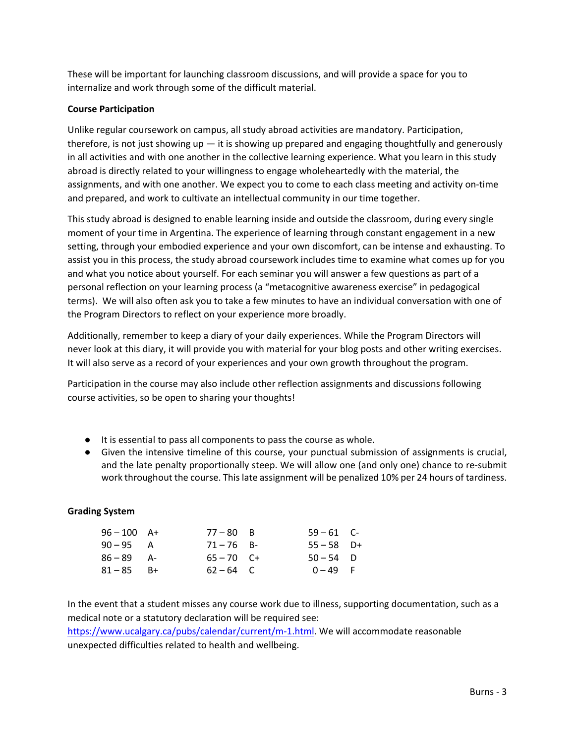These will be important for launching classroom discussions, and will provide a space for you to internalize and work through some of the difficult material.

# **Course Participation**

Unlike regular coursework on campus, all study abroad activities are mandatory. Participation, therefore, is not just showing up  $-$  it is showing up prepared and engaging thoughtfully and generously in all activities and with one another in the collective learning experience. What you learn in this study abroad is directly related to your willingness to engage wholeheartedly with the material, the assignments, and with one another. We expect you to come to each class meeting and activity on-time and prepared, and work to cultivate an intellectual community in our time together.

This study abroad is designed to enable learning inside and outside the classroom, during every single moment of your time in Argentina. The experience of learning through constant engagement in a new setting, through your embodied experience and your own discomfort, can be intense and exhausting. To assist you in this process, the study abroad coursework includes time to examine what comes up for you and what you notice about yourself. For each seminar you will answer a few questions as part of a personal reflection on your learning process (a "metacognitive awareness exercise" in pedagogical terms). We will also often ask you to take a few minutes to have an individual conversation with one of the Program Directors to reflect on your experience more broadly.

Additionally, remember to keep a diary of your daily experiences. While the Program Directors will never look at this diary, it will provide you with material for your blog posts and other writing exercises. It will also serve as a record of your experiences and your own growth throughout the program.

Participation in the course may also include other reflection assignments and discussions following course activities, so be open to sharing your thoughts!

- It is essential to pass all components to pass the course as whole.
- Given the intensive timeline of this course, your punctual submission of assignments is crucial, and the late penalty proportionally steep. We will allow one (and only one) chance to re-submit work throughout the course. This late assignment will be penalized 10% per 24 hours of tardiness.

## **Grading System**

| $96 - 100$ A+ | $77 - 80$ B  | $59 - 61$ C- |  |
|---------------|--------------|--------------|--|
| $90 - 95$ A   | $71 - 76$ B- | $55 - 58$ D+ |  |
| $86 - 89$ A-  | $65 - 70$ C+ | $50 - 54$ D  |  |
| $81 - 85$ B+  | $62 - 64$ C  | $0 - 49$ F   |  |

In the event that a student misses any course work due to illness, supporting documentation, such as a medical note or a statutory declaration will be required see:

[https://www.ucalgary.ca/pubs/calendar/current/m-1.html.](https://www.ucalgary.ca/pubs/calendar/current/m-1.html) We will accommodate reasonable unexpected difficulties related to health and wellbeing.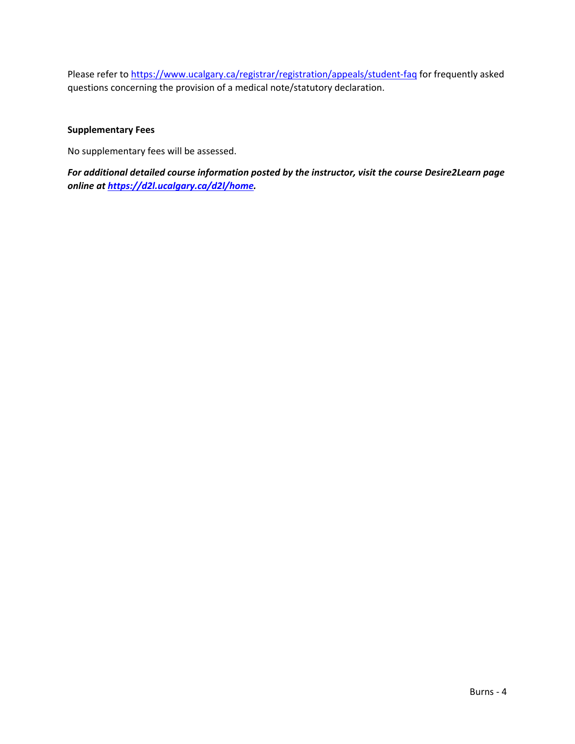Please refer t[o https://www.ucalgary.ca/registrar/registration/appeals/student-faq](https://www.ucalgary.ca/registrar/registration/appeals/student-faq) for frequently asked questions concerning the provision of a medical note/statutory declaration.

# **Supplementary Fees**

No supplementary fees will be assessed.

*For additional detailed course information posted by the instructor, visit the course Desire2Learn page online at [https://d2l.ucalgary.ca/d2l/home.](https://d2l.ucalgary.ca/d2l/home)*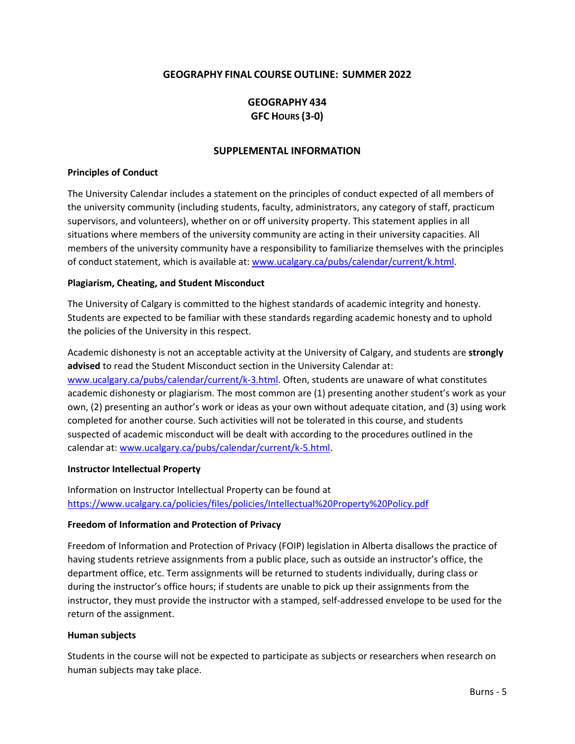# **GEOGRAPHY FINAL COURSE OUTLINE: SUMMER 2022**

# **GEOGRAPHY 434 GFC HOURS (3-0)**

### **SUPPLEMENTAL INFORMATION**

### **Principles of Conduct**

The University Calendar includes a statement on the principles of conduct expected of all members of the university community (including students, faculty, administrators, any category of staff, practicum supervisors, and volunteers), whether on or off university property. This statement applies in all situations where members of the university community are acting in their university capacities. All members of the university community have a responsibility to familiarize themselves with the principles of conduct statement, which is available at: [www.ucalgary.ca/pubs/calendar/current/k.html.](http://www.ucalgary.ca/pubs/calendar/current/k.html)

### **Plagiarism, Cheating, and Student Misconduct**

The University of Calgary is committed to the highest standards of academic integrity and honesty. Students are expected to be familiar with these standards regarding academic honesty and to uphold the policies of the University in this respect.

Academic dishonesty is not an acceptable activity at the University of Calgary, and students are **strongly advised** to read the Student Misconduct section in the University Calendar at: [www.ucalgary.ca/pubs/calendar/current/k-3.html.](http://www.ucalgary.ca/pubs/calendar/current/k-3.html) Often, students are unaware of what constitutes academic dishonesty or plagiarism. The most common are (1) presenting another student's work as your own, (2) presenting an author's work or ideas as your own without adequate citation, and (3) using work completed for another course. Such activities will not be tolerated in this course, and students suspected of academic misconduct will be dealt with according to the procedures outlined in the calendar at: [www.ucalgary.ca/pubs/calendar/current/k-5.html.](http://www.ucalgary.ca/pubs/calendar/current/k-5.html)

### **Instructor Intellectual Property**

Information on Instructor Intellectual Property can be found at <https://www.ucalgary.ca/policies/files/policies/Intellectual%20Property%20Policy.pdf>

## **Freedom of Information and Protection of Privacy**

Freedom of Information and Protection of Privacy (FOIP) legislation in Alberta disallows the practice of having students retrieve assignments from a public place, such as outside an instructor's office, the department office, etc. Term assignments will be returned to students individually, during class or during the instructor's office hours; if students are unable to pick up their assignments from the instructor, they must provide the instructor with a stamped, self-addressed envelope to be used for the return of the assignment.

### **Human subjects**

Students in the course will not be expected to participate as subjects or researchers when research on human subjects may take place.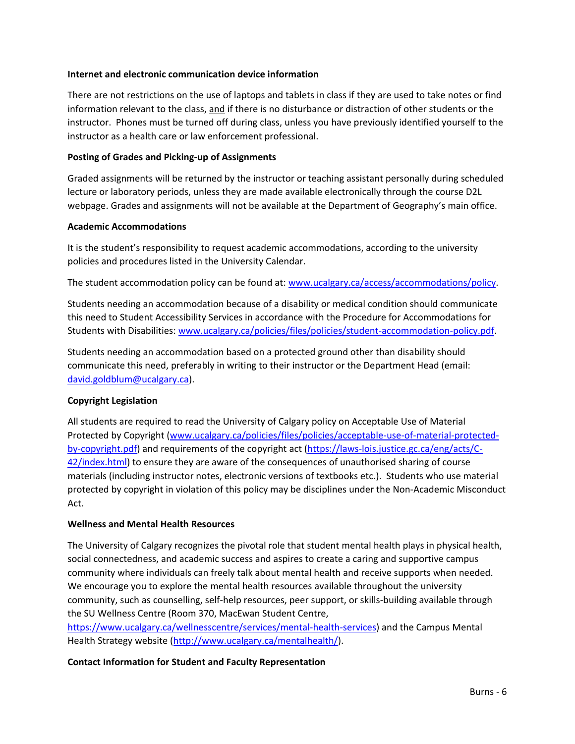### **Internet and electronic communication device information**

There are not restrictions on the use of laptops and tablets in class if they are used to take notes or find information relevant to the class, and if there is no disturbance or distraction of other students or the instructor. Phones must be turned off during class, unless you have previously identified yourself to the instructor as a health care or law enforcement professional.

### **Posting of Grades and Picking-up of Assignments**

Graded assignments will be returned by the instructor or teaching assistant personally during scheduled lecture or laboratory periods, unless they are made available electronically through the course D2L webpage. Grades and assignments will not be available at the Department of Geography's main office.

### **Academic Accommodations**

It is the student's responsibility to request academic accommodations, according to the university policies and procedures listed in the University Calendar.

The student accommodation policy can be found at: [www.ucalgary.ca/access/accommodations/policy.](http://www.ucalgary.ca/access/accommodations/policy)

Students needing an accommodation because of a disability or medical condition should communicate this need to Student Accessibility Services in accordance with the Procedure for Accommodations for Students with Disabilities: [www.ucalgary.ca/policies/files/policies/student-accommodation-policy.pdf.](http://www.ucalgary.ca/policies/files/policies/student-accommodation-policy.pdf)

Students needing an accommodation based on a protected ground other than disability should communicate this need, preferably in writing to their instructor or the Department Head (email: [david.goldblum@ucalgary.ca\)](mailto:david.goldblum@ucalgary.ca).

## **Copyright Legislation**

All students are required to read the University of Calgary policy on Acceptable Use of Material Protected by Copyright [\(www.ucalgary.ca/policies/files/policies/acceptable-use-of-material-protected](http://www.ucalgary.ca/policies/files/policies/acceptable-use-of-material-protected-by-copyright.pdf)[by-copyright.pdf\)](http://www.ucalgary.ca/policies/files/policies/acceptable-use-of-material-protected-by-copyright.pdf) and requirements of the copyright act [\(https://laws-lois.justice.gc.ca/eng/acts/C-](https://laws-lois.justice.gc.ca/eng/acts/C-42/index.html)[42/index.html\)](https://laws-lois.justice.gc.ca/eng/acts/C-42/index.html) to ensure they are aware of the consequences of unauthorised sharing of course materials (including instructor notes, electronic versions of textbooks etc.). Students who use material protected by copyright in violation of this policy may be disciplines under the Non-Academic Misconduct Act.

## **Wellness and Mental Health Resources**

The University of Calgary recognizes the pivotal role that student mental health plays in physical health, social connectedness, and academic success and aspires to create a caring and supportive campus community where individuals can freely talk about mental health and receive supports when needed. We encourage you to explore the mental health resources available throughout the university community, such as counselling, self-help resources, peer support, or skills-building available through the SU Wellness Centre (Room 370, MacEwan Student Centre,

[https://www.ucalgary.ca/wellnesscentre/services/mental-health-services\)](https://www.ucalgary.ca/wellnesscentre/services/mental-health-services) and the Campus Mental Health Strategy website [\(http://www.ucalgary.ca/mentalhealth/\)](http://www.ucalgary.ca/mentalhealth/).

## **Contact Information for Student and Faculty Representation**